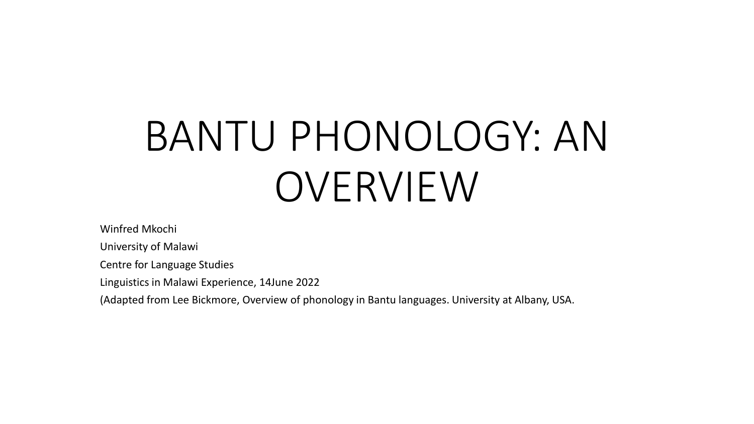# BANTU PHONOLOGY: AN OVERVIEW

Winfred Mkochi

University of Malawi

Centre for Language Studies

Linguistics in Malawi Experience, 14June 2022

(Adapted from Lee Bickmore, Overview of phonology in Bantu languages. University at Albany, USA.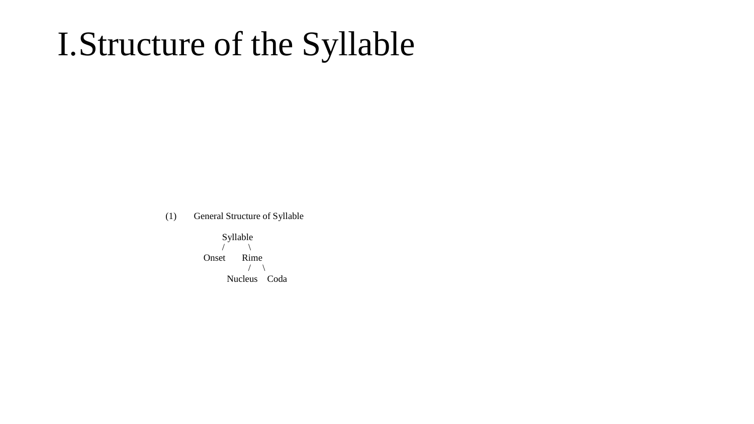## I.Structure of the Syllable

(1) General Structure of Syllable

Syllable  $\sqrt{2}$ Onset Rime  $\left\langle \quad \right\rangle$ Nucleus Coda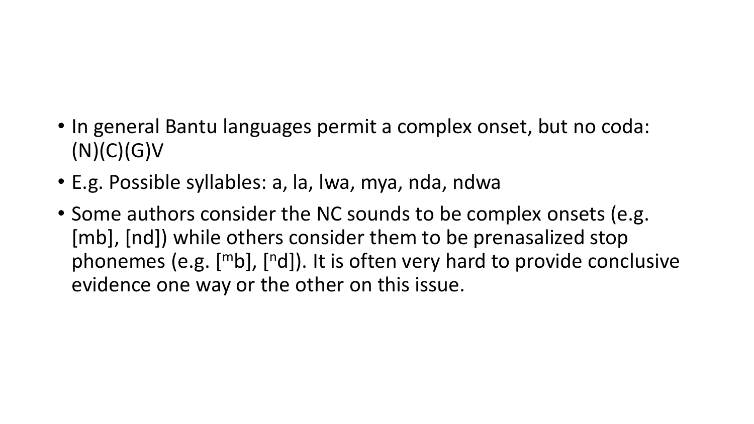- In general Bantu languages permit a complex onset, but no coda:  $(N)(C)(G)V$
- E.g. Possible syllables: a, la, lwa, mya, nda, ndwa
- Some authors consider the NC sounds to be complex onsets (e.g. [mb], [nd]) while others consider them to be prenasalized stop phonemes (e.g.  $[mb]$ ,  $[nd]$ ). It is often very hard to provide conclusive evidence one way or the other on this issue.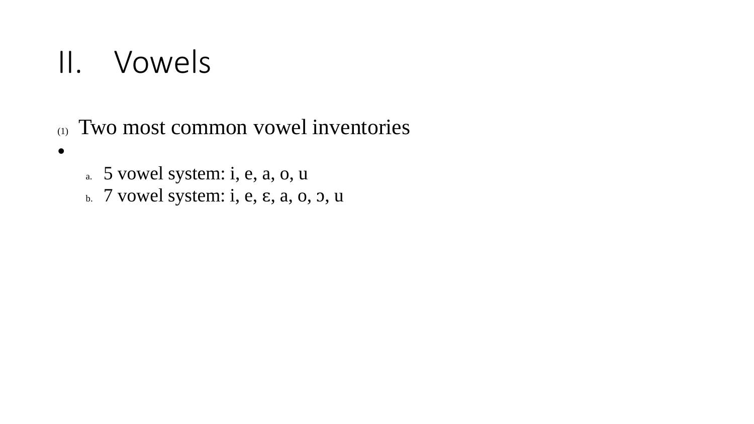## II. Vowels

- (1) Two most common vowel inventories
- •
- a. 5 vowel system: i, e, a, o, u
- b. 7 vowel system: i, e, ɛ, a, o, ɔ, u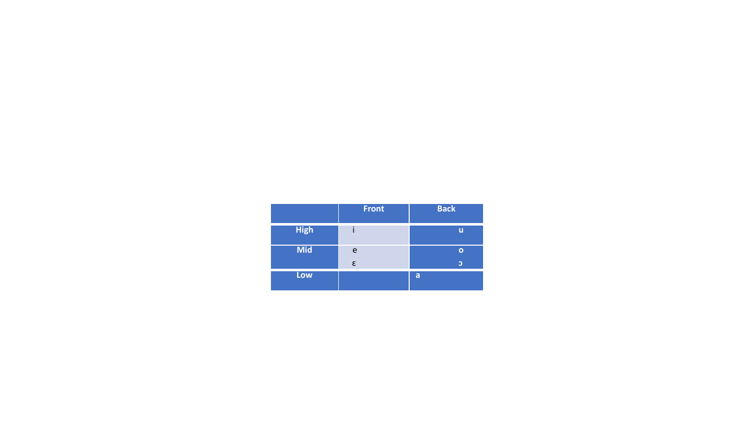|             | <b>Front</b> | <b>Back</b> |
|-------------|--------------|-------------|
| <b>High</b> |              | u           |
| <b>Mid</b>  | e            | n           |
|             | ε            | Э           |
| Low         |              | a           |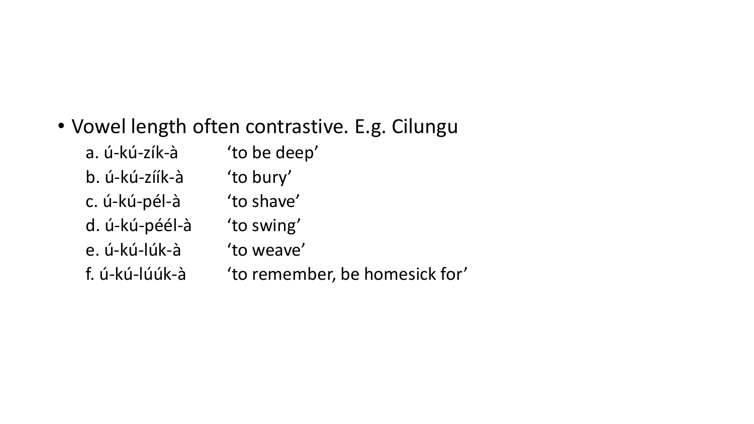### • Vowel length often contrastive. E.g. Cilungu

| a. ú-kú-zík-à  | 'to be deep'                   |
|----------------|--------------------------------|
| b. ú-kú-zíík-à | 'to bury'                      |
| c. ú-kú-pél-à  | 'to shave'                     |
| d. ú-kú-péél-à | 'to swing'                     |
| e. ú-kú-lúk-à  | 'to weave'                     |
| f. ú-kú-lúúk-à | 'to remember, be homesick for' |
|                |                                |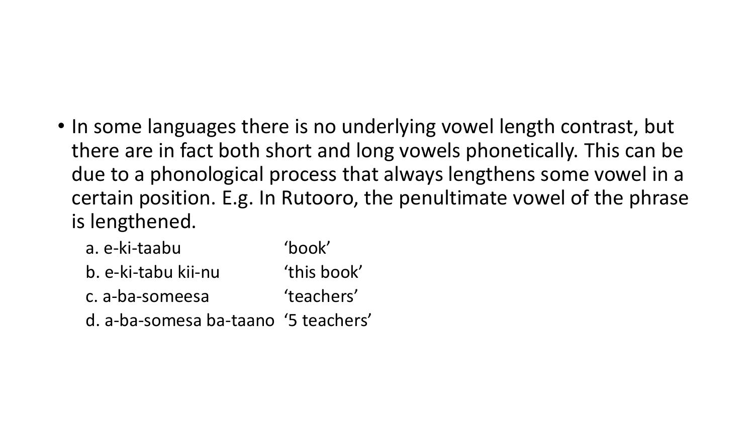• In some languages there is no underlying vowel length contrast, but there are in fact both short and long vowels phonetically. This can be due to a phonological process that always lengthens some vowel in a certain position. E.g. In Rutooro, the penultimate vowel of the phrase is lengthened.

| a. e-ki-taabu       | 'book'      |
|---------------------|-------------|
| b. e-ki-tabu kii-nu | 'this book' |
|                     |             |

- c. a-ba-someesa 'teachers'
- d. a-ba-somesa ba-taano '5 teachers'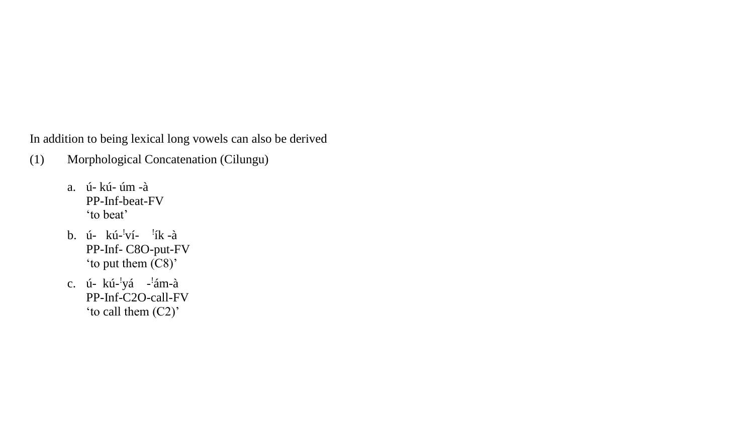In addition to being lexical long vowels can also be derived

- (1) Morphological Concatenation (Cilungu)
	- a. ú- kú- úm -à PP-Inf-beat-FV 'to beat'
	- b. ú- kú-'ví- 'ík-à ! ! PP-Inf- C8O-put-FV 'to pu<sup>t</sup> them (C8)'
	- c. ú- kú-'yá -'ám-à ! ! PP-Inf-C2O-call-FV 'to call them (C2)'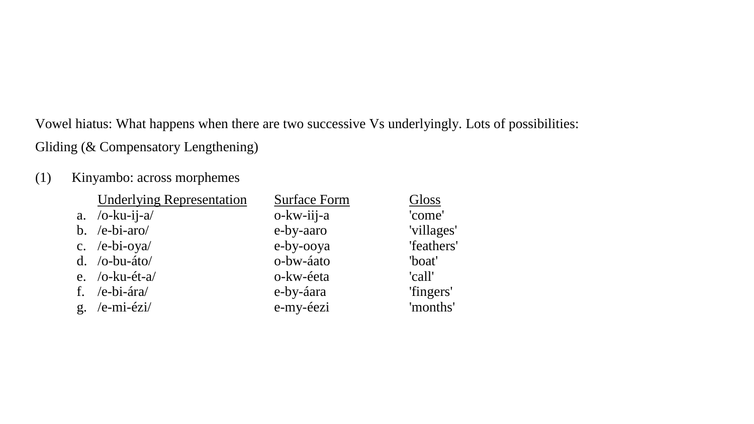Vowel hiatus: What happens when there are two successive Vs underlyingly. Lots of possibilities: Gliding (& Compensatory Lengthening)

#### (1) Kinyambo: across morphemes

| <b>Underlying Representation</b> | <b>Surface Form</b> | Gloss      |
|----------------------------------|---------------------|------------|
| a. $/o$ -ku-ij-a $/$             | $o-kw-iii-a$        | 'come'     |
| b. /e-bi-aro/                    | e-by-aaro           | 'villages' |
| c. /e-bi-oya/                    | e-by-ooya           | 'feathers' |
| $d.$ /o-bu-áto/                  | o-bw-áato           | 'boat'     |
| e. $/o$ -ku-ét-a/                | o-kw-éeta           | 'call'     |
| f. /e-bi-ára/                    | e-by-áara           | 'fingers'  |
| g. /e-mi-ézi/                    | e-my-éezi           | 'months'   |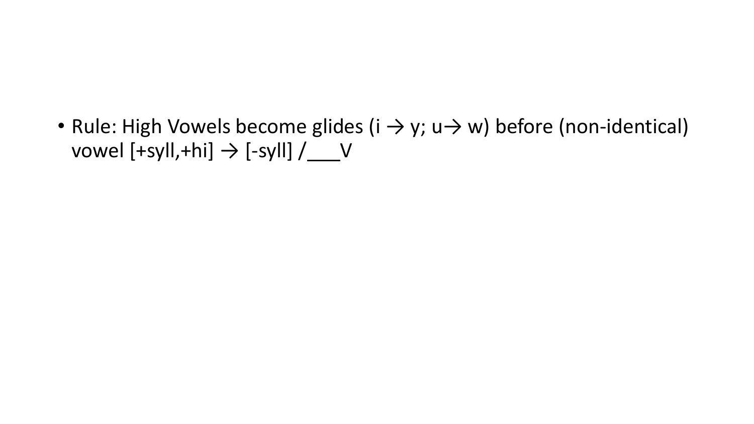• Rule: High Vowels become glides ( $i \rightarrow y$ ; u $\rightarrow w$ ) before (non-identical) vowel  $[+syll,+hi] \rightarrow [-syll] / \underline{\hspace{2cm}} V$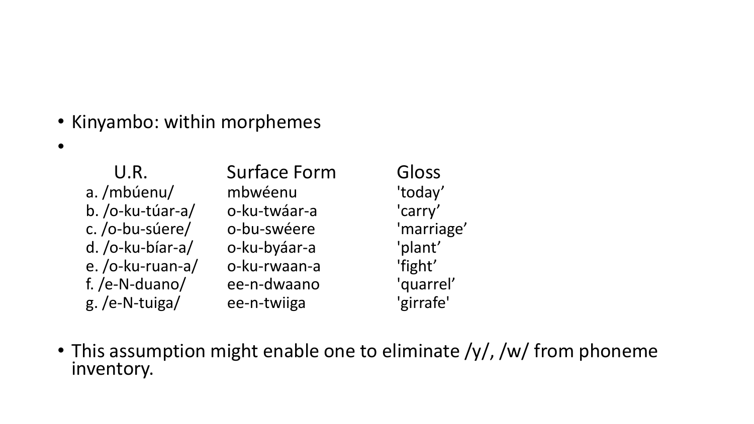• Kinyambo: within morphemes

 $\bullet$ 

| U.R.             | <b>Surface Form</b> | Gloss      |
|------------------|---------------------|------------|
| a./mbúenu/       | mbwéenu             | 'today'    |
| b. /o-ku-túar-a/ | o-ku-twáar-a        | 'carry'    |
| c./o-bu-súere/   | o-bu-swéere         | 'marriage' |
| d. /o-ku-bíar-a/ | o-ku-byáar-a        | 'plant'    |
| e./o-ku-ruan-a/  | o-ku-rwaan-a        | 'fight'    |
| f. /e-N-duano/   | ee-n-dwaano         | 'quarrel'  |
| g./e-N-tuiga/    | ee-n-twiiga         | 'girrafe'  |

• This assumption might enable one to eliminate /y/, /w/ from phoneme inventory.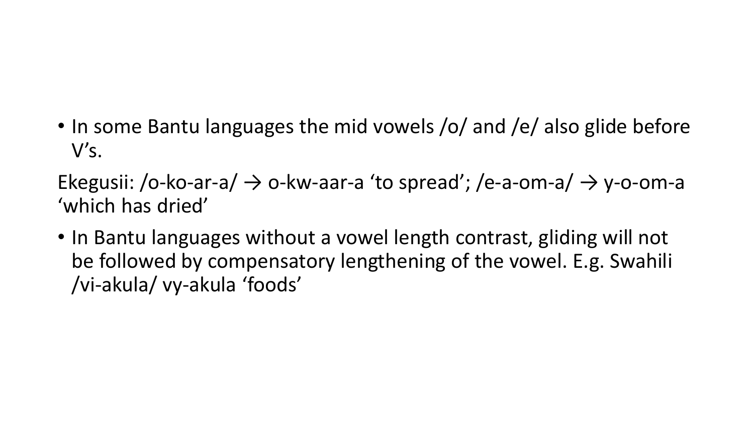• In some Bantu languages the mid vowels /o/ and /e/ also glide before V's.

Ekegusii: /o-ko-ar-a/  $\rightarrow$  o-kw-aar-a 'to spread'; /e-a-om-a/  $\rightarrow$  y-o-om-a 'which has dried'

• In Bantu languages without a vowel length contrast, gliding will not be followed by compensatory lengthening of the vowel. E.g. Swahili /vi-akula/ vy-akula 'foods'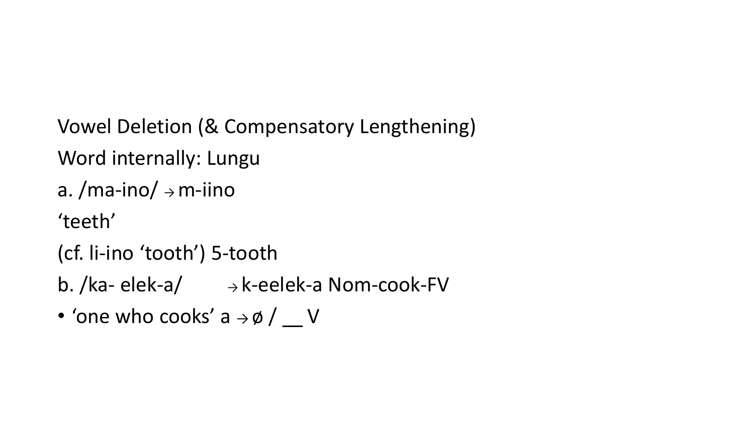Vowel Deletion (& Compensatory Lengthening) Word internally: Lungu a. /ma-ino/  $\rightarrow$  m-iino 'teeth' (cf. li-ino 'tooth') 5-tooth

- b. /ka- elek-a/  $\rightarrow$  k-eelek-a Nom-cook-FV
- 'one who cooks' a  $\rightarrow \emptyset$  /  $V$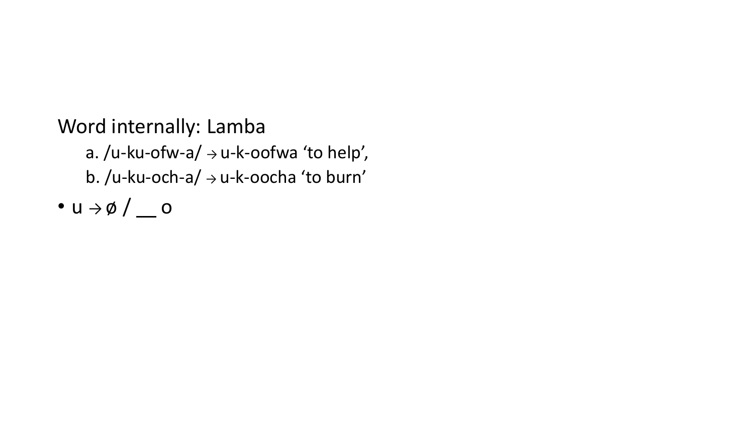Word internally: Lamba

a. /u-ku-ofw-a/  $\rightarrow$  u-k-oofwa 'to help', b. /u-ku-och-a/ → u-k-oocha 'to burn'

• u  $\rightarrow \emptyset$  /  $\_\circ$  o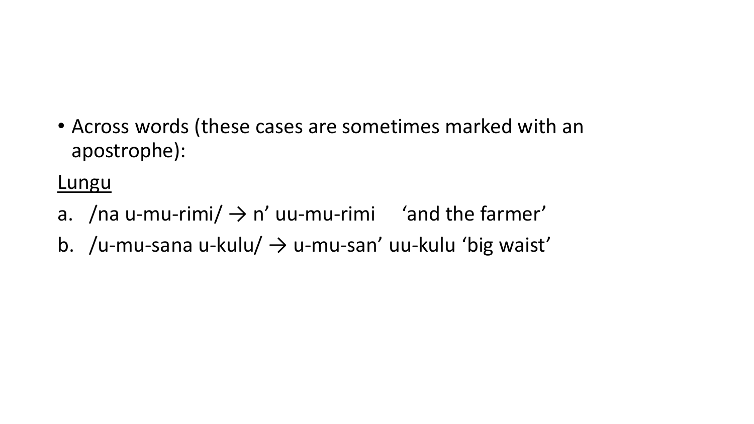• Across words (these cases are sometimes marked with an apostrophe):

**Lungu** 

- a. /na u-mu-rimi/  $\rightarrow$  n' uu-mu-rimi 'and the farmer'
- b. /u-mu-sana u-kulu/  $\rightarrow$  u-mu-san' uu-kulu 'big waist'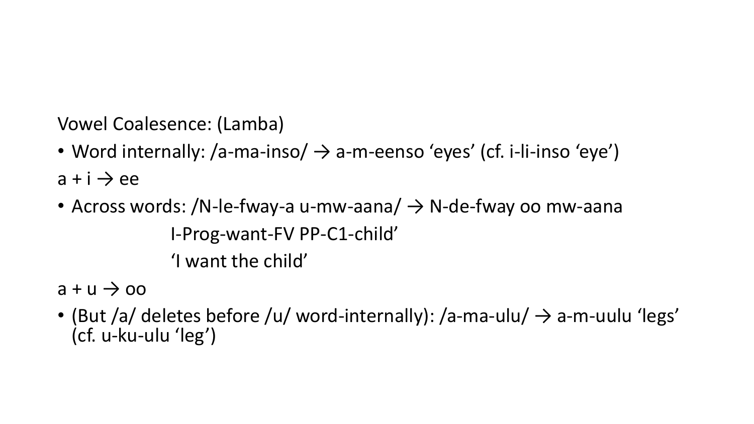Vowel Coalesence: (Lamba)

- Word internally: /a-ma-inso/  $\rightarrow$  a-m-eenso 'eyes' (cf. i-li-inso 'eye')  $a + i \rightarrow ee$
- Across words: /N-le-fway-a u-mw-aana/  $\rightarrow$  N-de-fway oo mw-aana I-Prog-want-FV PP-C1-child' 'I want the child'

 $a + u \rightarrow oo$ 

• (But /a/ deletes before /u/ word-internally): /a-ma-ulu/  $\rightarrow$  a-m-uulu 'legs' (cf. u-ku-ulu 'leg')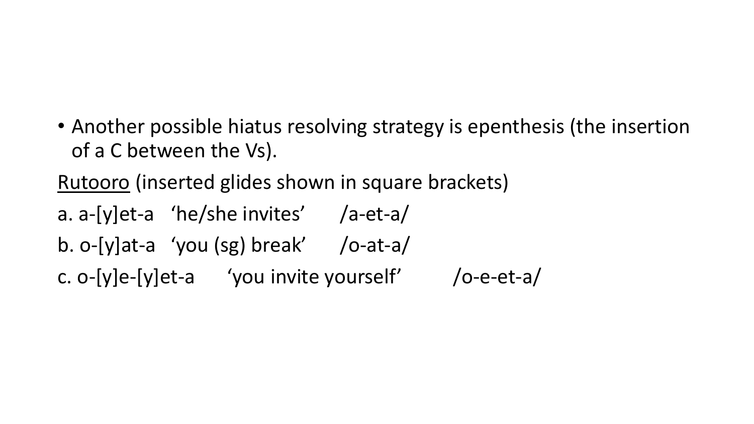• Another possible hiatus resolving strategy is epenthesis (the insertion of a C between the Vs).

Rutooro (inserted glides shown in square brackets)

- a. a-[y]et-a 'he/she invites' /a-et-a/
- b. o-[y]at-a 'you (sg) break' /o-at-a/

c. o- $[y]e-[y]$ et-a 'you invite yourself' /o-e-et-a/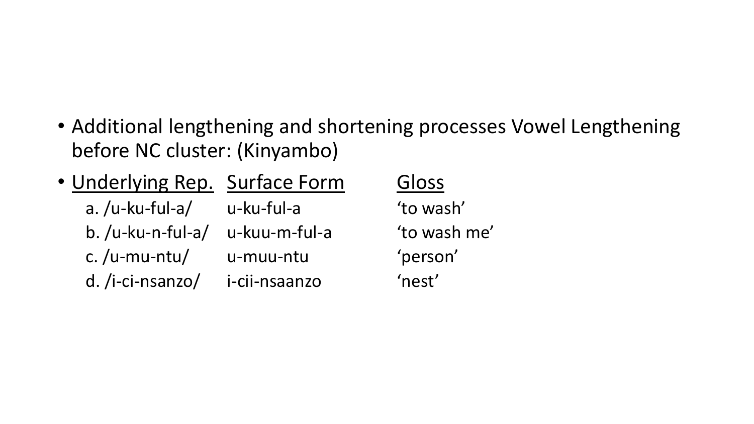• Additional lengthening and shortening processes Vowel Lengthening before NC cluster: (Kinyambo)

| • Underlying Rep. Surface Form |               | Gloss  |
|--------------------------------|---------------|--------|
| $a. / u$ -ku-ful-a/            | u-ku-ful-a    | 'to wa |
| $b. /u$ -ku-n-ful-a/           | u-kuu-m-ful-a | 'to wa |
| c./u-mu-ntu/                   | u-muu-ntu     | 'perso |
| d. /i-ci-nsanzo/               | i-cii-nsaanzo | 'nest' |

Gloss

'to wash' 'to wash me' 'person'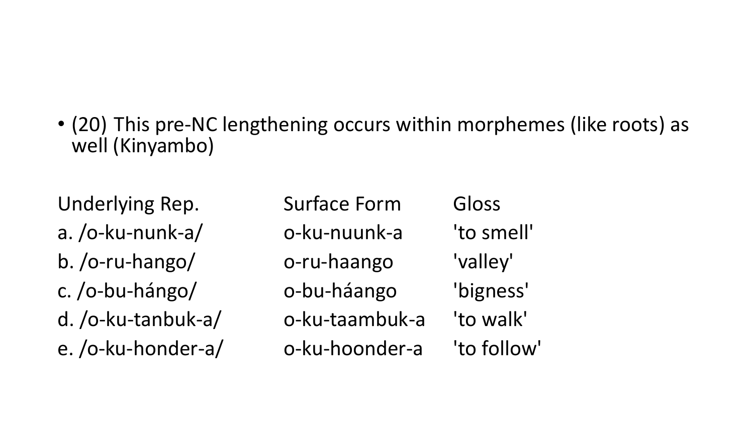• (20) This pre-NC lengthening occurs within morphemes (like roots) as well (Kinyambo)

Underlying Rep. Surface Form Gloss a. /o-ku-nunk-a/ o-ku-nuunk-a 'to smell' b. /o-ru-hango/ o-ru-haango 'valley' c. /o-bu-hángo/ o-bu-háango 'bigness' d. /o-ku-tanbuk-a/ o-ku-taambuk-a 'to walk' e. /o-ku-honder-a/ o-ku-hoonder-a 'to follow'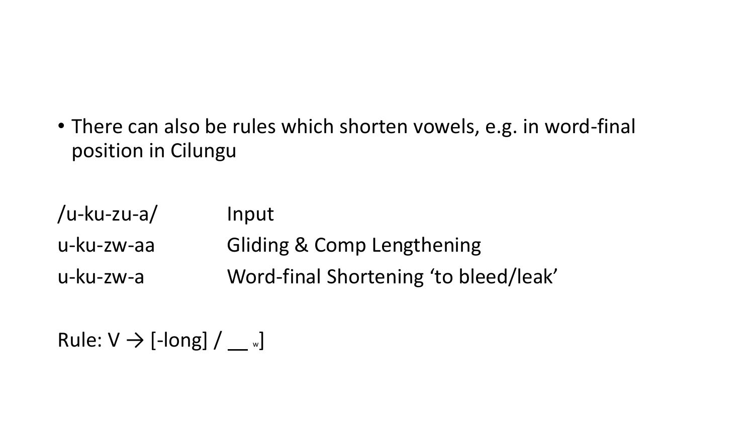• There can also be rules which shorten vowels, e.g. in word-final position in Cilungu

| /u-ku-zu-a/ | Input                                 |
|-------------|---------------------------------------|
| u-ku-zw-aa  | <b>Gliding &amp; Comp Lengthening</b> |
| u-ku-zw-a   | Word-final Shortening 'to bleed/leak' |

Rule:  $V \rightarrow$  [-long]  $/ \_\_\_\_\$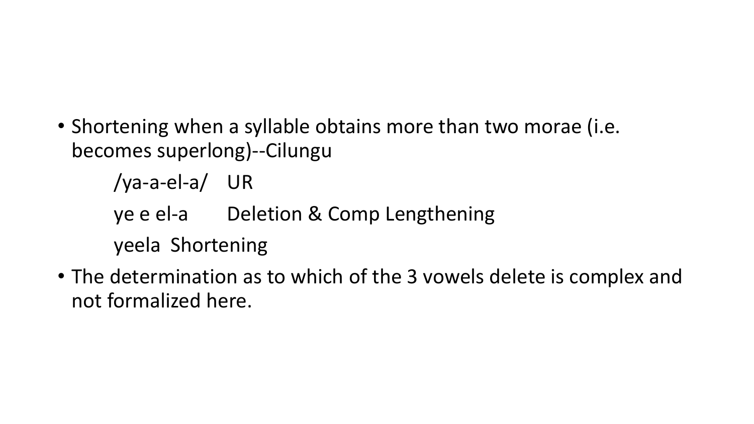- Shortening when a syllable obtains more than two morae (i.e. becomes superlong)--Cilungu
	- /ya-a-el-a/ UR
	- ye e el-a Deletion & Comp Lengthening
	- yeela Shortening
- The determination as to which of the 3 vowels delete is complex and not formalized here.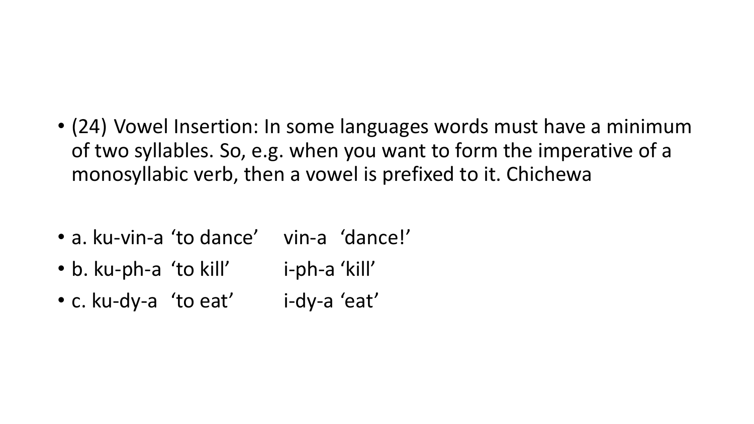- (24) Vowel Insertion: In some languages words must have a minimum of two syllables. So, e.g. when you want to form the imperative of a monosyllabic verb, then a vowel is prefixed to it. Chichewa
- a. ku-vin-a 'to dance' vin-a 'dance!'
- b. ku-ph-a 'to kill' i-ph-a 'kill'
- c. ku-dy-a 'to eat' i-dy-a 'eat'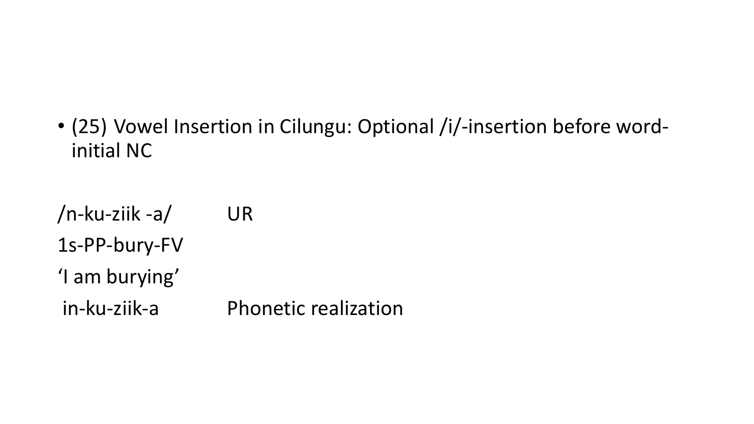• (25) Vowel Insertion in Cilungu: Optional /i/-insertion before wordinitial NC

/n-ku-ziik -a/ UR 1s-PP-bury-FV 'I am burying' in-ku-ziik-a Phonetic realization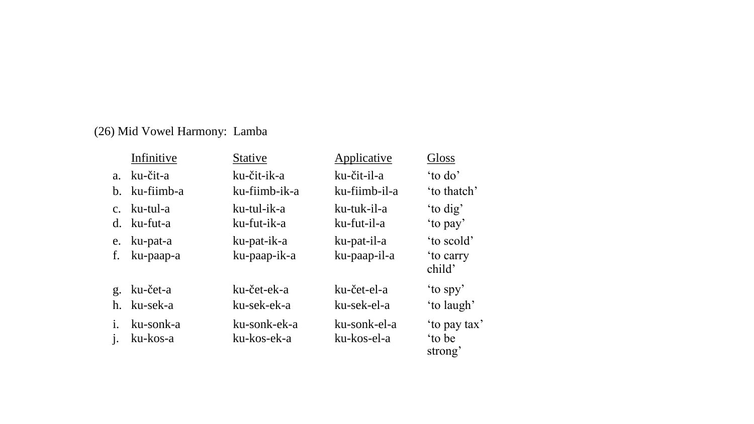#### (26) Mid Vowel Harmony: Lamba

|                | Infinitive               | <b>Stative</b>              | Applicative                 | Gloss                                   |
|----------------|--------------------------|-----------------------------|-----------------------------|-----------------------------------------|
|                | a. ku-čit-a              | ku-čit-ik-a                 | ku-čit-il-a                 | 'to do'                                 |
|                | b. ku-fiimb-a            | ku-fiimb-ik-a               | ku-fiimb-il-a               | 'to thatch'                             |
| $d_{-}$        | c. ku-tul-a<br>ku-fut-a  | ku-tul-ik-a<br>ku-fut-ik-a  | ku-tuk-il-a<br>ku-fut-il-a  | 'to dig'<br>'to pay'                    |
| f.             | e. ku-pat-a<br>ku-paap-a | ku-pat-ik-a<br>ku-paap-ik-a | ku-pat-il-a<br>ku-paap-il-a | 'to scold'<br><i>to carry</i><br>child' |
| g <sub>1</sub> | ku-čet-a                 | ku-čet-ek-a                 | ku-čet-el-a                 | 'to spy'                                |
|                | h. ku-sek-a              | ku-sek-ek-a                 | ku-sek-el-a                 | 'to laugh'                              |
|                | ku-sonk-a<br>ku-kos-a    | ku-sonk-ek-a<br>ku-kos-ek-a | ku-sonk-el-a<br>ku-kos-el-a | 'to pay tax'<br>to be<br>strong'        |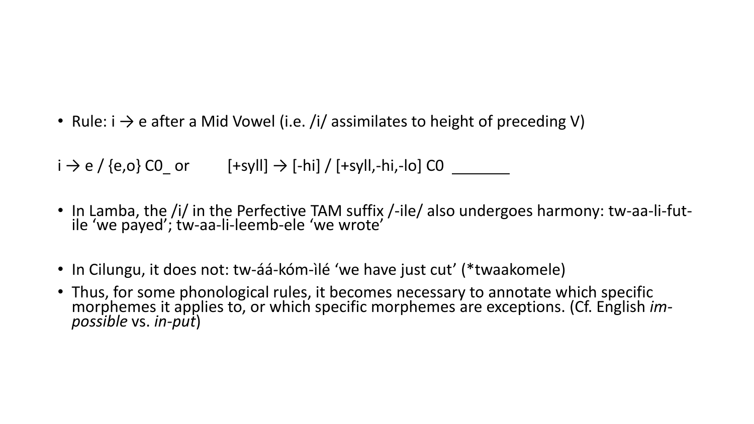• Rule:  $i \rightarrow e$  after a Mid Vowel (i.e. /i/ assimilates to height of preceding V)

 $i \rightarrow e$  / {e,o} CO or [+syll]  $\rightarrow$  [-hi] / [+syll,-hi,-lo] CO

- In Lamba, the /i/ in the Perfective TAM suffix /-ile/ also undergoes harmony: tw-aa-li-futile 'we payed'; tw-aa-li-leemb-ele 'we wrote'
- In Cilungu, it does not: tw-áá-kóm-ìlé 'we have just cut' (\*twaakomele)
- Thus, for some phonological rules, it becomes necessary to annotate which specific morphemes it applies to, or which specific morphemes are exceptions. (Cf. English *impossible* vs. *in-put*)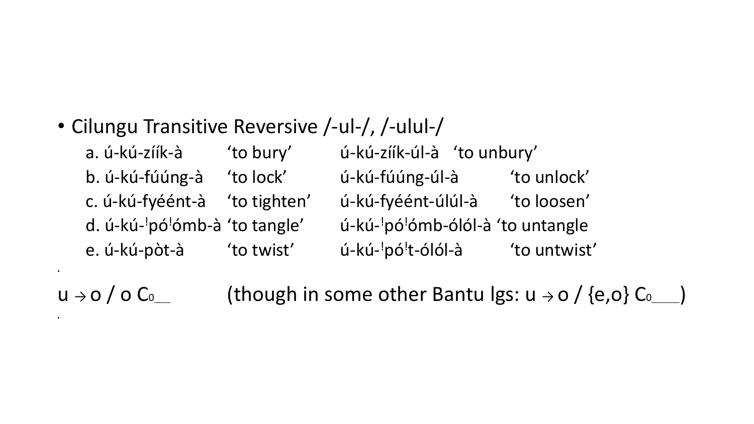### • Cilungu Transitive Reversive /-ul-/, /-ulul-/

•

•

a. ú-kú-zíík-à 'to bury' ú-kú-zíík-úl-à 'to unbury' b. ú-kú-fúúng-à 'to lock' ú-kú-fúúng-úl-à 'to unlock' c. ú-kú-fyéént-à 'to tighten' ú-kú-fyéént-úlúl-à 'to loosen' d. ú-kú-<sup>!</sup>pó<sup>!</sup>ómb-à 'to tangle' ú-kúú-kú-<sup>!</sup>pó<sup>!</sup>ómb-ólól-à 'to untangle e. ú-kú-pòt-à 'to twist' ú-kú-<sup>!</sup>pó<sup>!</sup>t-ólól-à 'to untwist'

 $u \rightarrow o / o C_0$  (though in some other Bantu Igs:  $u \rightarrow o / (e,o) C_0$ )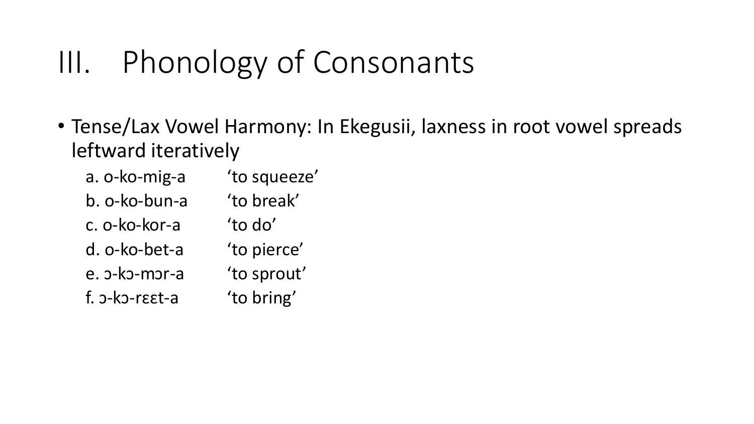# III. Phonology of Consonants

• Tense/Lax Vowel Harmony: In Ekegusii, laxness in root vowel spreads leftward iteratively

| a. o-ko-mig-a  | 'to squeeze' |
|----------------|--------------|
| b. o-ko-bun-a  | 'to break'   |
| c. o-ko-kor-a  | 'to do'      |
| d. o-ko-bet-a  | 'to pierce'  |
| e. o-ko-mor-a  | 'to sprout'  |
| f. o-ko-reet-a | 'to bring'   |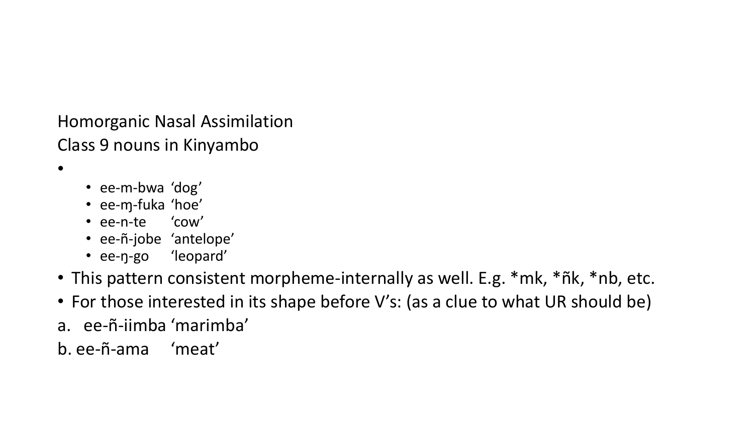Homorganic Nasal Assimilation Class 9 nouns in Kinyambo

•

- ee-m-bwa 'dog'
- ee-ɱ-fuka 'hoe'
- ee-n-te 'cow'
- ee-ñ-jobe 'antelope'
- ee-ŋ-go 'leopard'
- This pattern consistent morpheme-internally as well. E.g. \*mk, \*ñk, \*nb, etc.
- For those interested in its shape before V's: (as a clue to what UR should be)
- a. ee-ñ-iimba 'marimba'
- b. ee-ñ-ama 'meat'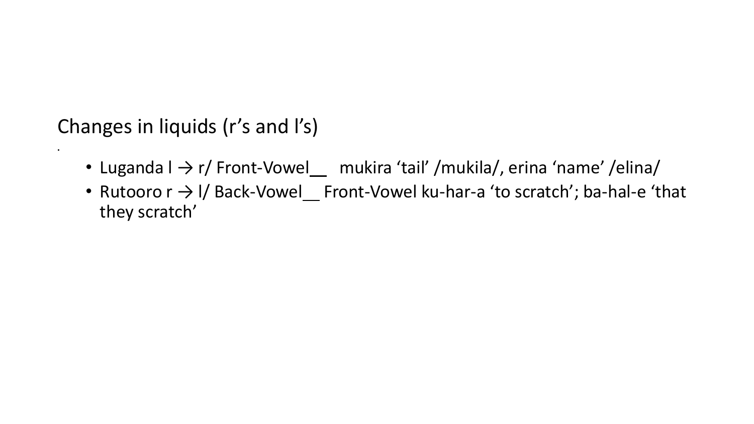Changes in liquids (r's and l's)

•

- Luganda I  $\rightarrow$  r/ Front-Vowel mukira 'tail' /mukila/, erina 'name' /elina/
- Rutooro r → I/ Back-Vowel Front-Vowel ku-har-a 'to scratch'; ba-hal-e 'that they scratch'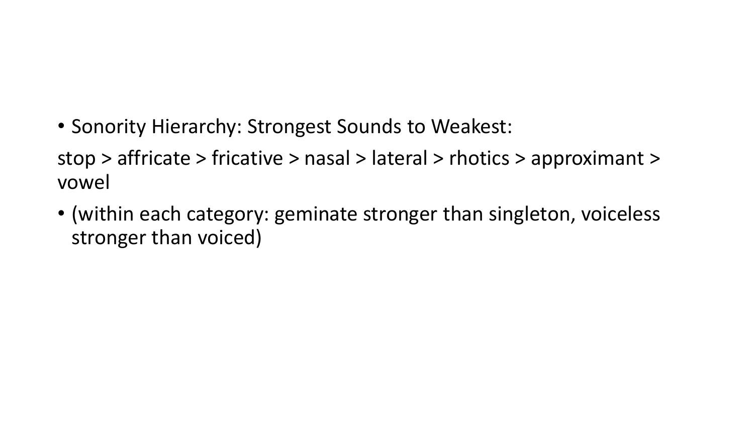• Sonority Hierarchy: Strongest Sounds to Weakest:

stop > affricate > fricative > nasal > lateral > rhotics > approximant > vowel

• (within each category: geminate stronger than singleton, voiceless stronger than voiced)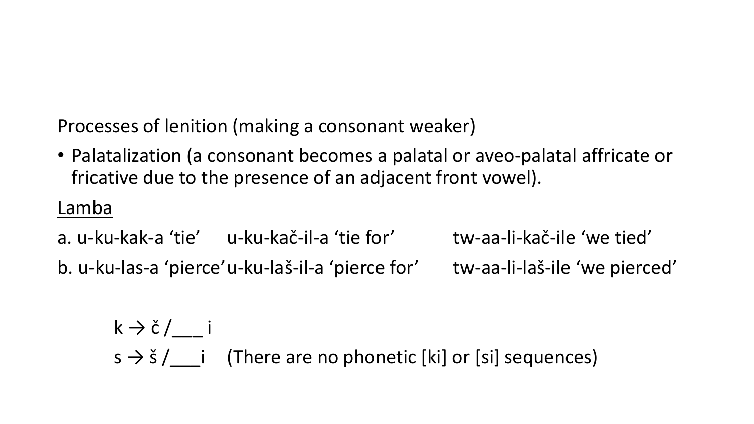Processes of lenition (making a consonant weaker)

• Palatalization (a consonant becomes a palatal or aveo-palatal affricate or fricative due to the presence of an adjacent front vowel).

### Lamba

a. u-ku-kak-a 'tie' u-ku-kač-il-a 'tie for' tw-aa-li-kač-ile 'we tied' b. u-ku-las-a 'pierce'u-ku-laš-il-a 'pierce for' tw-aa-li-laš-ile 'we pierced'

$$
k \rightarrow \check{c} / \underline{\hspace{1cm}} i
$$
\n
$$
s \rightarrow \check{s} / \underline{\hspace{1cm}} i
$$
\n(There are no phonetic [ki] or [si] sequences)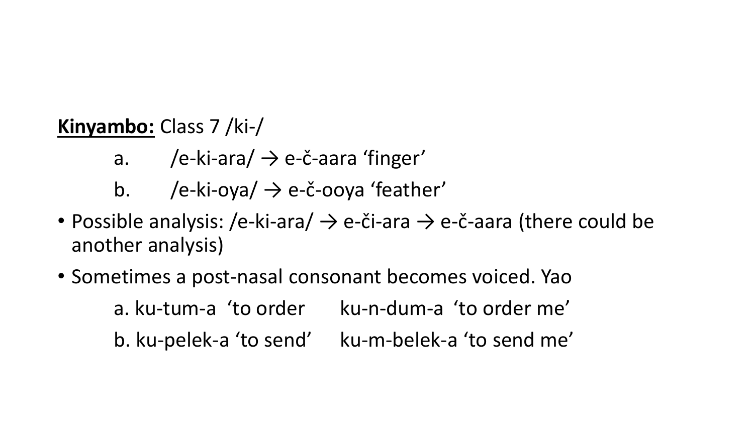### **Kinyambo:** Class 7 /ki-/

- a. /e-ki-ara/  $\rightarrow$  e-č-aara 'finger'
- b. /e-ki-oya/  $\rightarrow$  e-č-ooya 'feather'
- Possible analysis: /e-ki-ara/  $\rightarrow$  e-či-ara  $\rightarrow$  e-č-aara (there could be another analysis)
- Sometimes a post-nasal consonant becomes voiced. Yao a. ku-tum-a 'to order ku-n-dum-a 'to order me' b. ku-pelek-a 'to send' ku-m-belek-a 'to send me'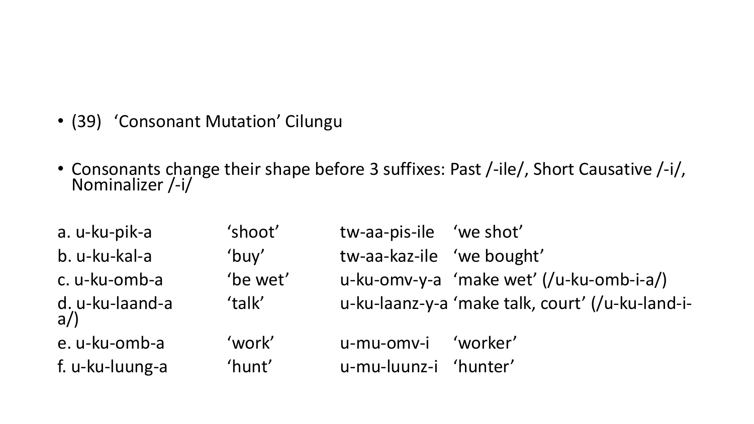- (39) 'Consonant Mutation' Cilungu
- Consonants change their shape before 3 suffixes: Past /-ile/, Short Causative /-i/, Nominalizer /-i/

| a. u-ku-pik-a            | 'shoot'  | tw-aa-pis-ile 'we shot'   |                                                  |
|--------------------------|----------|---------------------------|--------------------------------------------------|
| b. u-ku-kal-a            | 'buy'    | tw-aa-kaz-ile 'we bought' |                                                  |
| c. u-ku-omb-a            | 'be wet' |                           | u-ku-omv-y-a 'make wet' (/u-ku-omb-i-a/)         |
| d. u-ku-laand-a<br>$a$ ) | 'talk'   |                           | u-ku-laanz-y-a 'make talk, court' (/u-ku-land-i- |
| e. u-ku-omb-a            | 'work'   | u-mu-omv-i                | 'worker'                                         |
| f. u-ku-luung-a          | 'hunt'   | u-mu-luunz-i 'hunter'     |                                                  |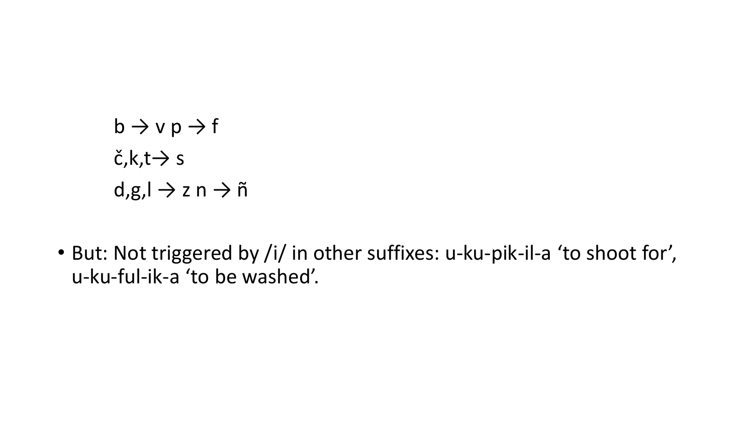- $b \rightarrow v p \rightarrow f$  $\check{c}$ ,k,t $\rightarrow$  s  $d,g, l \to z n \to \tilde{n}$
- But: Not triggered by /i/ in other suffixes: u-ku-pik-il-a 'to shoot for', u-ku-ful-ik-a 'to be washed'.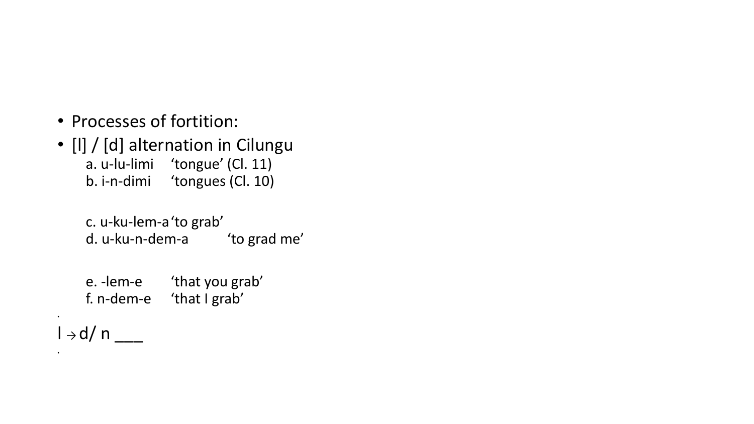- Processes of fortition:
- [l] / [d] alternation in Cilungu a. u-lu-limi 'tongue' (Cl. 11) b. i-n-dimi 'tongues (Cl. 10)

c. u-ku-lem-a'to grab' d. u-ku-n-dem-a 'to grad me'

e. -lem-e 'that you grab' f. n-dem-e 'that I grab'

l → d/ n \_\_\_

•

•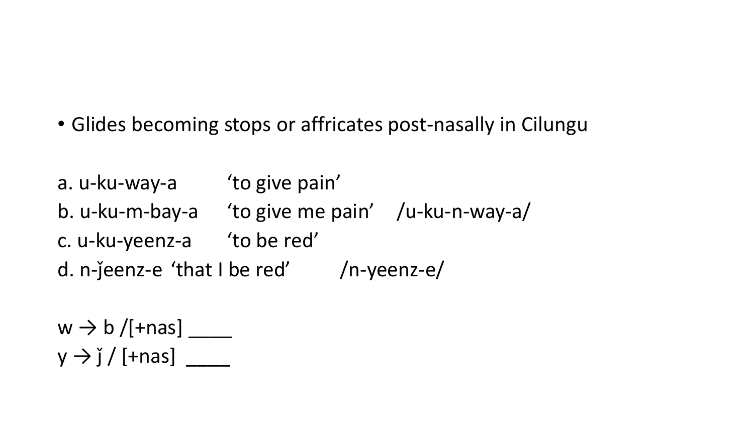- Glides becoming stops or affricates post-nasally in Cilungu
- a. u-ku-way-a 'to give pain'
- b. u-ku-m-bay-a 'to give me pain' /u-ku-n-way-a/
- c. u-ku-yeenz-a 'to be red'

d. n- $j$ eenz-e 'that I be red' /n-yeenz-e/

 $w \rightarrow b$  /[+nas]  $y \rightarrow \check{I}/$  [+nas]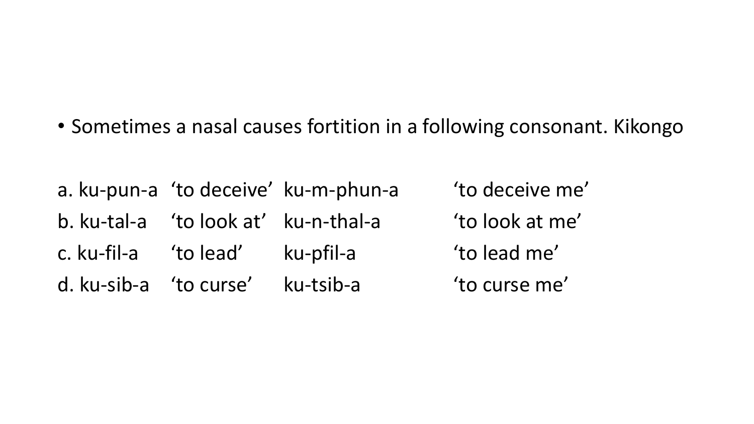• Sometimes a nasal causes fortition in a following consonant. Kikongo

a. ku-pun-a 'to deceive' ku-m-phun-a 'to deceive me' b. ku-tal-a 'to look at' ku-n-thal-a 'to look at me' c. ku-fil-a 'to lead' ku-pfil-a 'to lead me' d. ku-sib-a 'to curse' ku-tsib-a 'to curse me'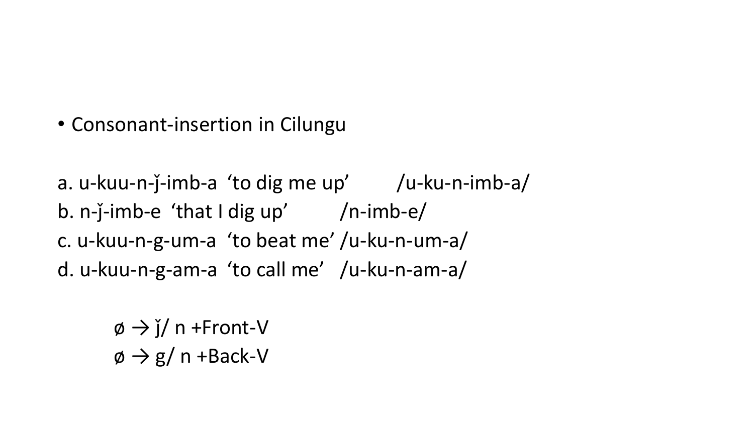• Consonant-insertion in Cilungu

a. u-kuu-n-j-imb-a 'to dig me up' /u-ku-n-imb-a/ b. n- $\check{j}$ -imb-e 'that I dig up' /n-imb-e/ c. u-kuu-n-g-um-a 'to beat me' /u-ku-n-um-a/ d. u-kuu-n-g-am-a 'to call me' /u-ku-n-am-a/

> $\phi \rightarrow$   $\check{I}$  n +Front-V  $\phi \rightarrow g/n +$ Back-V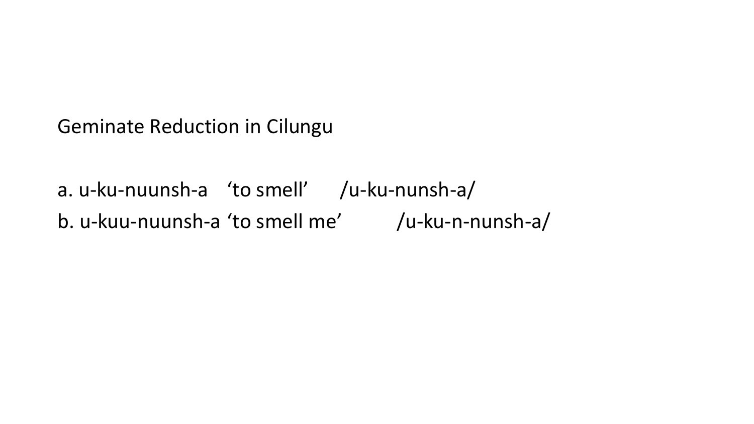Geminate Reduction in Cilungu

a. u-ku-nuunsh-a 'to smell' /u-ku-nunsh-a/ b. u-kuu-nuunsh-a 'to smell me' /u-ku-n-nunsh-a/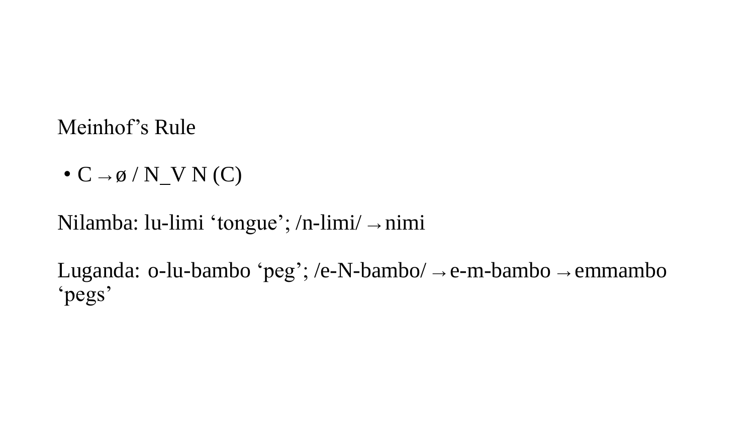### Meinhof's Rule

•  $C \rightarrow \emptyset / N$  V N  $(C)$ 

Nilamba: lu-limi 'tongue'; /n-limi/ <sup>→</sup> nimi

Luganda: o-lu-bambo 'peg'; /e-N-bambo/  $\rightarrow$  e-m-bambo  $\rightarrow$  emmambo 'pegs'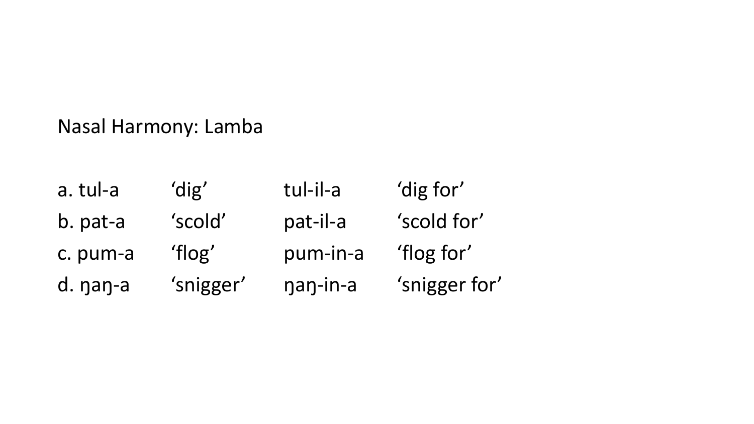Nasal Harmony: Lamba

a. tul-a 'dig' tul-il-a 'dig for' b. pat-a 'scold' pat-il-a 'scold for' c. pum-a 'flog' pum-in-a 'flog for' d. ŋaŋ-a 'snigger' ŋaŋ-in-a 'snigger for'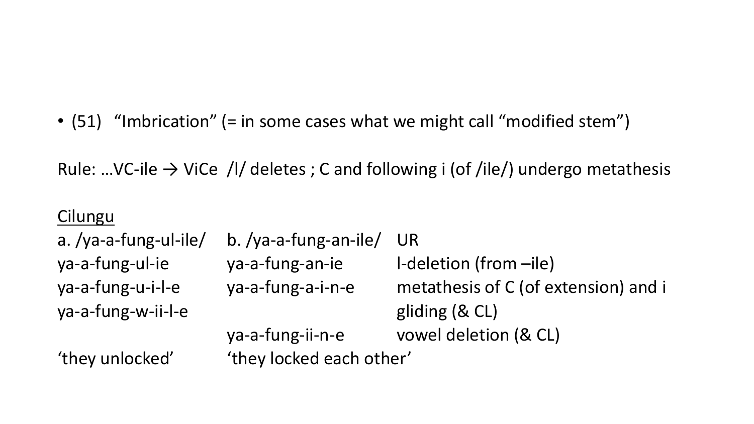• (51) "Imbrication" (= in some cases what we might call "modified stem")

Rule: …VC-ile  $\rightarrow$  ViCe /I/ deletes ; C and following i (of /ile/) undergo metathesis

#### Cilungu

a. /ya-a-fung-ul-ile/ b. /ya-a-fung-an-ile/ UR ya-a-fung-ul-ie ya-a-fung-an-ie l-deletion (from –ile) ya-a-fung-u-i-l-e ya-a-fung-a-i-n-e metathesis of C (of extension) and i ya-a-fung-w-ii-l-e gliding (& CL) ya-a-fung-ii-n-e vowel deletion (& CL) 'they unlocked' finey locked each other'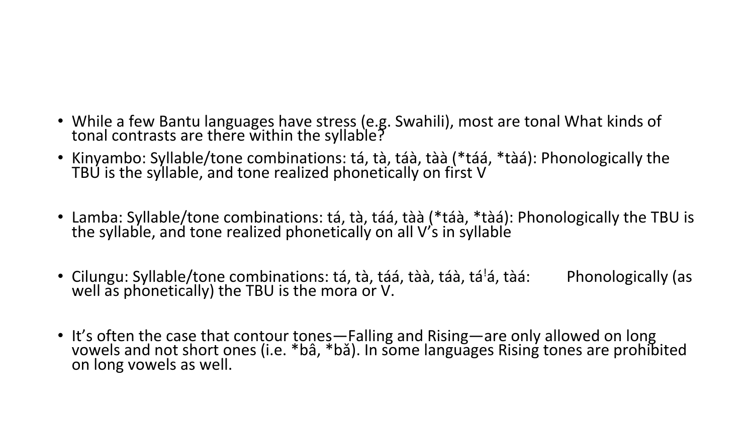- While a few Bantu languages have stress (e.g. Swahili), most are tonal What kinds of tonal contrasts are there within the syllable?
- Kinyambo: Syllable/tone combinations: tá, tà, táà, tàà (\*táá, \*tàá): Phonologically the TBU is the syllable, and tone realized phonetically on first V
- Lamba: Syllable/tone combinations: tá, tà, táá, tàà (\*táà, \*tàá): Phonologically the TBU is the syllable, and tone realized phonetically on all V's in syllable
- Cilungu: Syllable/tone combinations: tá, tà, táá, tàà, táà, tá½, tàá: Phonologically (as well as phonetically) the TBU is the mora or V.
- It's often the case that contour tones—Falling and Rising—are only allowed on long vowels and not short ones (i.e. \*bâ, \*bǎ). In some languages Rising tones are prohibited on long vowels as well.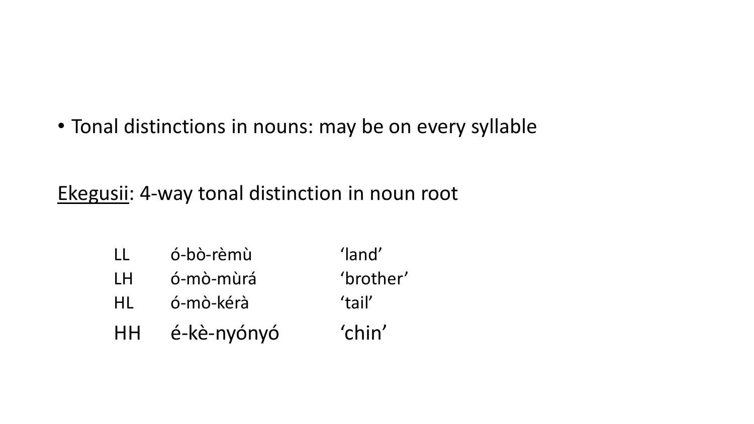• Tonal distinctions in nouns: may be on every syllable

Ekegusii: 4-way tonal distinction in noun root

- LL ó-bò-rèmù 'land'
- LH ó-mò-mùrá 'brother'
- HL ó-mò-kérà 'tail'
- HH é-kè-nyónyó 'chin'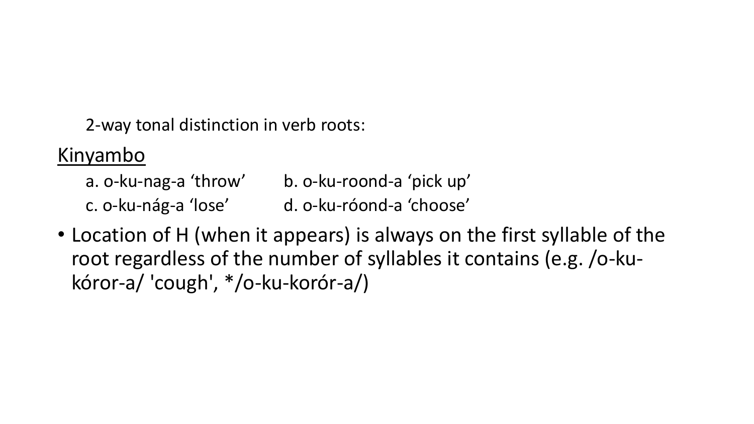2-way tonal distinction in verb roots:

Kinyambo

a. o-ku-nag-a 'throw' b. o-ku-roond-a 'pick up' c. o-ku-nág-a 'lose' d. o-ku-róond-a 'choose'

• Location of H (when it appears) is always on the first syllable of the root regardless of the number of syllables it contains (e.g. /o-kukóror-a/ 'cough', \*/o-ku-korór-a/)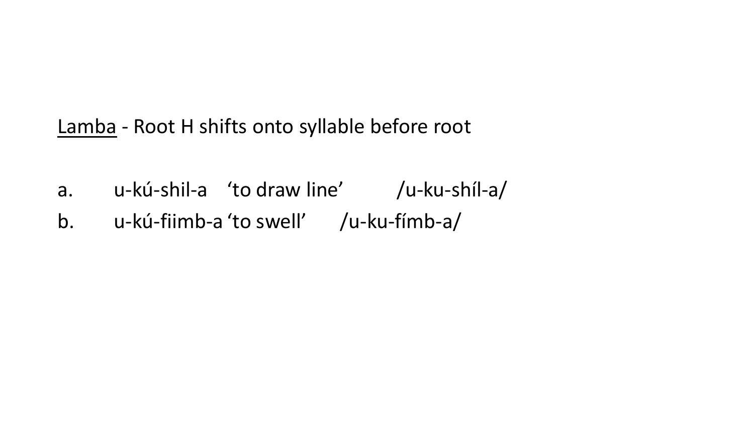Lamba - Root H shifts onto syllable before root

- a. u-kú-shil-a 'to draw line' /u-ku-shíl-a/
- b. u-kú-fiimb-a 'to swell' /u-ku-fímb-a/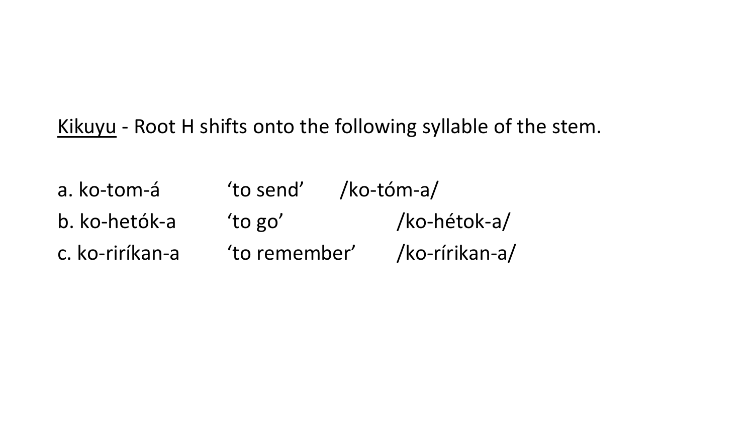Kikuyu - Root H shifts onto the following syllable of the stem.

a. ko-tom-á 'to send' /ko-tóm-a/ b. ko-hetók-a 'to go' /ko-hétok-a/ c. ko-riríkan-a 'to remember' /ko-rírikan-a/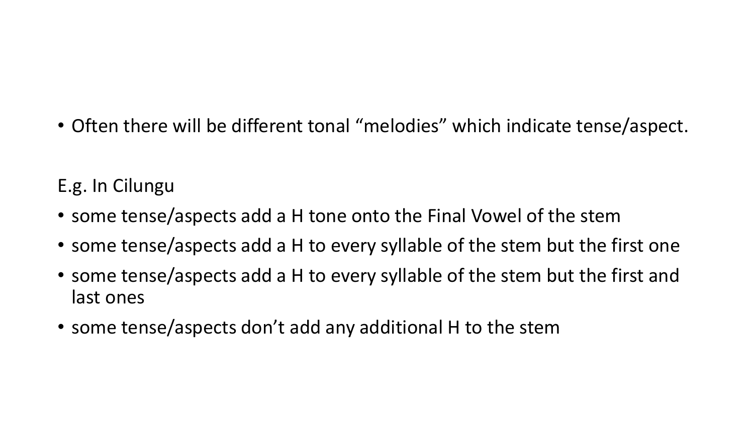• Often there will be different tonal "melodies" which indicate tense/aspect.

### E.g. In Cilungu

- some tense/aspects add a H tone onto the Final Vowel of the stem
- some tense/aspects add a H to every syllable of the stem but the first one
- some tense/aspects add a H to every syllable of the stem but the first and last ones
- some tense/aspects don't add any additional H to the stem